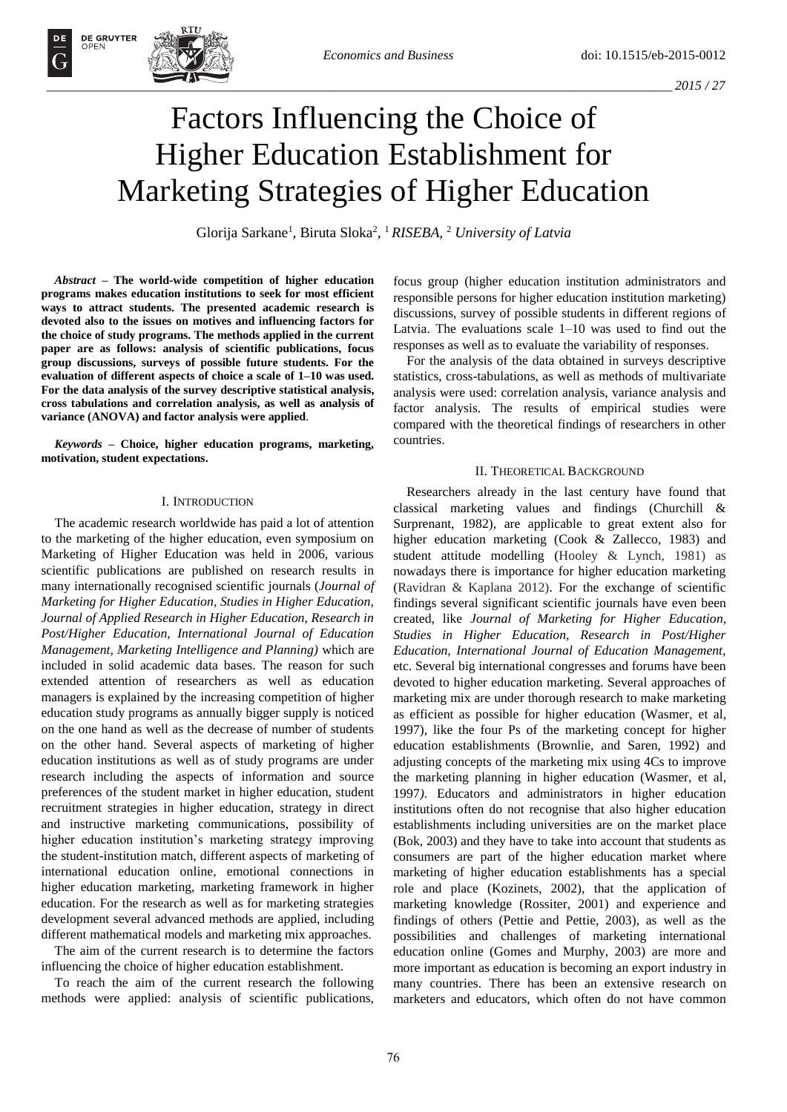

OPEN

# Factors Influencing the Choice of Higher Education Establishment for Marketing Strategies of Higher Education

Glorija Sarkane<sup>1</sup> , Biruta Sloka<sup>2</sup> , <sup>1</sup>*RISEBA,* <sup>2</sup> *University of Latvia*

*Abstract –* **The world-wide competition of higher education programs makes education institutions to seek for most efficient ways to attract students. The presented academic research is devoted also to the issues on motives and influencing factors for the choice of study programs. The methods applied in the current paper are as follows: analysis of scientific publications, focus group discussions, surveys of possible future students. For the evaluation of different aspects of choice a scale of 1–10 was used. For the data analysis of the survey descriptive statistical analysis, cross tabulations and correlation analysis, as well as analysis of variance (ANOVA) and factor analysis were applied**.

*Keywords* **– Choice, higher education programs, marketing, motivation, student expectations.** 

## I. INTRODUCTION

The academic research worldwide has paid a lot of attention to the marketing of the higher education, even symposium on Marketing of Higher Education was held in 2006, various scientific publications are published on research results in many internationally recognised scientific journals (*Journal of Marketing for Higher Education, Studies in Higher Education, Journal of Applied Research in Higher Education, Research in Post/Higher Education, International Journal of Education Management, Marketing Intelligence and Planning)* which are included in solid academic data bases. The reason for such extended attention of researchers as well as education managers is explained by the increasing competition of higher education study programs as annually bigger supply is noticed on the one hand as well as the decrease of number of students on the other hand. Several aspects of marketing of higher education institutions as well as of study programs are under research including the aspects of information and source preferences of the student market in higher education, student recruitment strategies in higher education, strategy in direct and instructive marketing communications, possibility of higher education institution's marketing strategy improving the student-institution match, different aspects of marketing of international education online, emotional connections in higher education marketing, marketing framework in higher education. For the research as well as for marketing strategies development several advanced methods are applied, including different mathematical models and marketing mix approaches.

The aim of the current research is to determine the factors influencing the choice of higher education establishment.

To reach the aim of the current research the following methods were applied: analysis of scientific publications, focus group (higher education institution administrators and responsible persons for higher education institution marketing) discussions, survey of possible students in different regions of Latvia. The evaluations scale 1–10 was used to find out the responses as well as to evaluate the variability of responses.

For the analysis of the data obtained in surveys descriptive statistics, cross-tabulations, as well as methods of multivariate analysis were used: correlation analysis, variance analysis and factor analysis. The results of empirical studies were compared with the theoretical findings of researchers in other countries.

## II. THEORETICAL BACKGROUND

Researchers already in the last century have found that classical marketing values and findings (Churchill & Surprenant, 1982), are applicable to great extent also for higher education marketing (Cook & Zallecco, 1983) and student attitude modelling (Hooley & Lynch, 1981) as nowadays there is importance for higher education marketing (Ravidran & Kaplana 2012). For the exchange of scientific findings several significant scientific journals have even been created, like *Journal of Marketing for Higher Education, Studies in Higher Education, Research in Post/Higher Education, International Journal of Education Management,*  etc. Several big international congresses and forums have been devoted to higher education marketing. Several approaches of marketing mix are under thorough research to make marketing as efficient as possible for higher education (Wasmer, et al, 1997), like the four Ps of the marketing concept for higher education establishments (Brownlie, and Saren, 1992) and adjusting concepts of the marketing mix using 4Cs to improve the marketing planning in higher education (Wasmer, et al, 1997*)*. Educators and administrators in higher education institutions often do not recognise that also higher education establishments including universities are on the market place (Bok, 2003) and they have to take into account that students as consumers are part of the higher education market where marketing of higher education establishments has a special role and place (Kozinets, 2002), that the application of marketing knowledge (Rossiter, 2001) and experience and findings of others (Pettie and Pettie, 2003), as well as the possibilities and challenges of marketing international education online (Gomes and Murphy, 2003) are more and more important as education is becoming an export industry in many countries. There has been an extensive research on marketers and educators, which often do not have common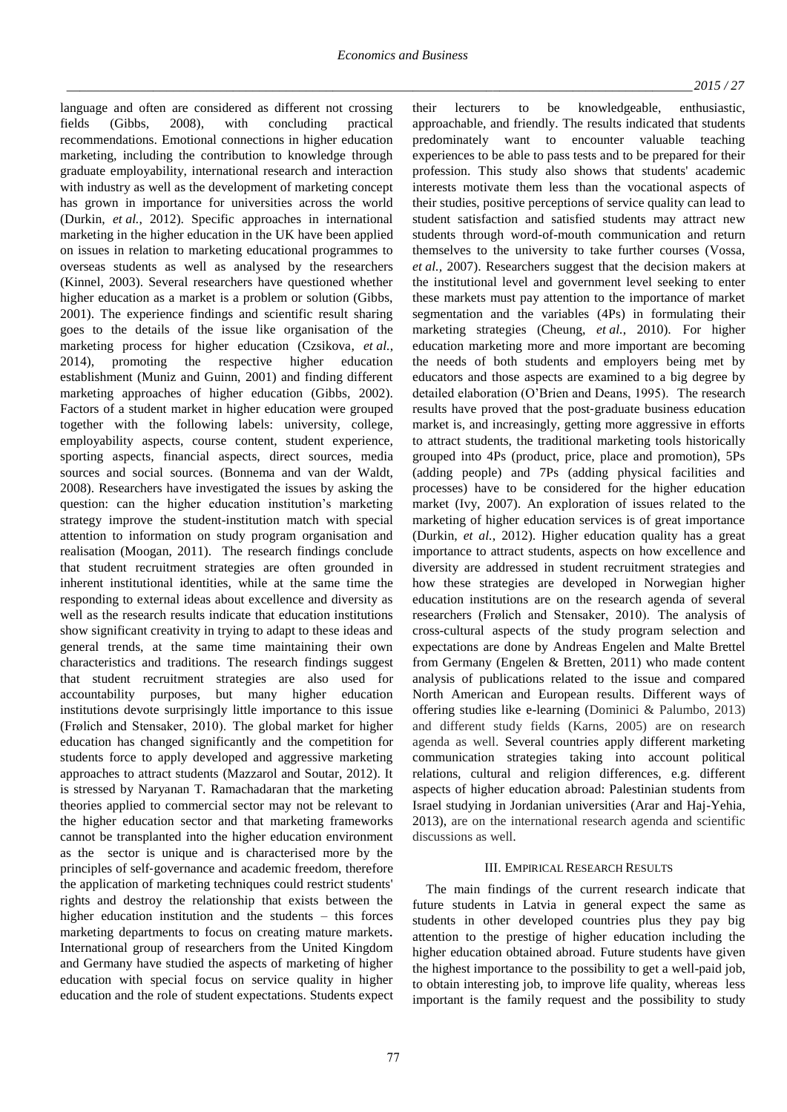language and often are considered as different not crossing<br>fields (Gibbs, 2008), with concluding practical fields (Gibbs, 2008), with concluding practical recommendations. Emotional connections in higher education marketing, including the contribution to knowledge through graduate employability, international research and interaction with industry as well as the development of marketing concept has grown in importance for universities across the world (Durkin, *et al.*, 2012). Specific approaches in international marketing in the higher education in the UK have been applied on issues in relation to marketing educational programmes to overseas students as well as analysed by the researchers (Kinnel, 2003). Several researchers have questioned whether higher education as a market is a problem or solution (Gibbs, 2001). The experience findings and scientific result sharing goes to the details of the issue like organisation of the marketing process for higher education (Czsikova, *et al.*, 2014), promoting the respective higher education establishment (Muniz and Guinn, 2001) and finding different marketing approaches of higher education (Gibbs, 2002). Factors of a student market in higher education were grouped together with the following labels: university, college, employability aspects, course content, student experience, sporting aspects, financial aspects, direct sources, media sources and social sources. (Bonnema and van der Waldt, 2008). Researchers have investigated the issues by asking the question: can the higher education institution's marketing strategy improve the student-institution match with special attention to information on study program organisation and realisation (Moogan, 2011). The research findings conclude that student recruitment strategies are often grounded in inherent institutional identities, while at the same time the responding to external ideas about excellence and diversity as well as the research results indicate that education institutions show significant creativity in trying to adapt to these ideas and general trends, at the same time maintaining their own characteristics and traditions. The research findings suggest that student recruitment strategies are also used for accountability purposes, but many higher education institutions devote surprisingly little importance to this issue (Frølich and Stensaker, 2010). The global market for higher education has changed significantly and the competition for students force to apply developed and aggressive marketing approaches to attract students (Mazzarol and Soutar, 2012). It is stressed by Naryanan T. Ramachadaran that the marketing theories applied to commercial sector may not be relevant to the higher education sector and that marketing frameworks cannot be transplanted into the higher education environment as the sector is unique and is characterised more by the principles of self‐governance and academic freedom, therefore the application of marketing techniques could restrict students' rights and destroy the relationship that exists between the higher education institution and the students – this forces marketing departments to focus on creating mature markets. International group of researchers from the United Kingdom and Germany have studied the aspects of marketing of higher education with special focus on service quality in higher education and the role of student expectations. Students expect their lecturers to be knowledgeable, enthusiastic, approachable, and friendly. The results indicated that students predominately want to encounter valuable teaching experiences to be able to pass tests and to be prepared for their profession. This study also shows that students' academic interests motivate them less than the vocational aspects of their studies, positive perceptions of service quality can lead to student satisfaction and satisfied students may attract new students through word-of-mouth communication and return themselves to the university to take further courses (Vossa, *et al.,* 2007). Researchers suggest that the decision makers at the institutional level and government level seeking to enter these markets must pay attention to the importance of market segmentation and the variables (4Ps) in formulating their marketing strategies (Cheung, *et al.*, 2010). For higher education marketing more and more important are becoming the needs of both students and employers being met by educators and those aspects are examined to a big degree by detailed elaboration (O'Brien and Deans, 1995). The research results have proved that the post‐graduate business education market is, and increasingly, getting more aggressive in efforts to attract students, the traditional marketing tools historically grouped into 4Ps (product, price, place and promotion), 5Ps (adding people) and 7Ps (adding physical facilities and processes) have to be considered for the higher education market (Ivy, 2007). An exploration of issues related to the marketing of higher education services is of great importance (Durkin, *et al.*, 2012). Higher education quality has a great importance to attract students, aspects on how excellence and diversity are addressed in student recruitment strategies and how these strategies are developed in Norwegian higher education institutions are on the research agenda of several researchers (Frølich and Stensaker, 2010). The analysis of cross-cultural aspects of the study program selection and expectations are done by Andreas Engelen and Malte Brettel from Germany (Engelen & Bretten, 2011) who made content analysis of publications related to the issue and compared North American and European results. Different ways of offering studies like e-learning (Dominici & Palumbo, 2013) and different study fields (Karns, 2005) are on research agenda as well. Several countries apply different marketing communication strategies taking into account political relations, cultural and religion differences, e.g. different aspects of higher education abroad: Palestinian students from Israel studying in Jordanian universities (Arar and Haj-Yehia, 2013), are on the international research agenda and scientific discussions as well.

## III. EMPIRICAL RESEARCH RESULTS

The main findings of the current research indicate that future students in Latvia in general expect the same as students in other developed countries plus they pay big attention to the prestige of higher education including the higher education obtained abroad. Future students have given the highest importance to the possibility to get a well-paid job, to obtain interesting job, to improve life quality, whereas less important is the family request and the possibility to study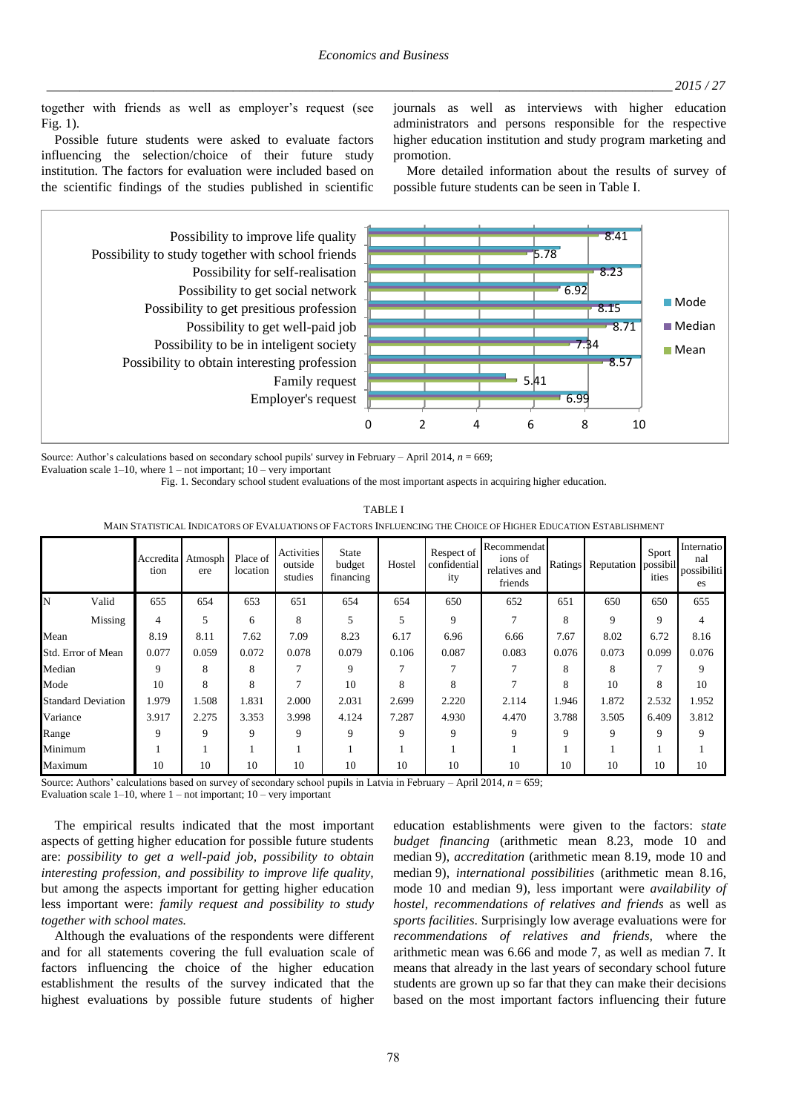together with friends as well as employer's request (see Fig.  $1$ ).

Possible future students were asked to evaluate factors influencing the selection/choice of their future study institution. The factors for evaluation were included based on the scientific findings of the studies published in scientific journals as well as interviews with higher education administrators and persons responsible for the respective higher education institution and study program marketing and promotion.

More detailed information about the results of survey of possible future students can be seen in Table I.



Source: Author's calculations based on secondary school pupils' survey in February - April 2014,  $n = 669$ ; Evaluation scale  $1-10$ , where  $1$  – not important;  $10$  – very important

Fig. 1. Secondary school student evaluations of the most important aspects in acquiring higher education.

**TABLE I** 

MAIN STATISTICAL INDICATORS OF EVALUATIONS OF FACTORS INFLUENCING THE CHOICE OF HIGHER EDUCATION ESTABLISHMENT

|                    |                           | tion        | Accredita Atmosph<br>ere | Place of<br>location | Activities<br>outside<br>studies | <b>State</b><br>budget<br>financing | Hostel | Respect of<br>confidential<br>ity | Recommendat<br>ions of<br>relatives and<br>friends | Ratings | Reputation | Sport<br>possibil<br>ities | Internatio<br>nal<br>possibiliti<br>es |
|--------------------|---------------------------|-------------|--------------------------|----------------------|----------------------------------|-------------------------------------|--------|-----------------------------------|----------------------------------------------------|---------|------------|----------------------------|----------------------------------------|
| N                  | Valid                     | 655         | 654                      | 653                  | 651                              | 654                                 | 654    | 650                               | 652                                                | 651     | 650        | 650                        | 655                                    |
|                    | Missing                   | 4           | 5                        | 6                    | 8                                | 5                                   | 5      | 9                                 |                                                    | 8       | 9          | 9                          | 4                                      |
| Mean               |                           | 8.19        | 8.11                     | 7.62                 | 7.09                             | 8.23                                | 6.17   | 6.96                              | 6.66                                               | 7.67    | 8.02       | 6.72                       | 8.16                                   |
| Std. Error of Mean |                           | 0.077       | 0.059                    | 0.072                | 0.078                            | 0.079                               | 0.106  | 0.087                             | 0.083                                              | 0.076   | 0.073      | 0.099                      | 0.076                                  |
| Median             |                           | $\mathbf Q$ | 8                        | 8                    | 7                                | 9                                   | 7      |                                   |                                                    | 8       | 8          | 7                          | 9                                      |
| Mode               |                           | 10          | 8                        | 8                    |                                  | 10                                  | 8      | 8                                 |                                                    | 8       | 10         | 8                          | 10                                     |
|                    | <b>Standard Deviation</b> | 1.979       | 1.508                    | 1.831                | 2.000                            | 2.031                               | 2.699  | 2.220                             | 2.114                                              | 1.946   | 1.872      | 2.532                      | 1.952                                  |
| Variance           |                           | 3.917       | 2.275                    | 3.353                | 3.998                            | 4.124                               | 7.287  | 4.930                             | 4.470                                              | 3.788   | 3.505      | 6.409                      | 3.812                                  |
| Range              |                           | $\mathbf Q$ | 9                        | 9                    | 9                                | 9                                   | 9      | $\mathbf Q$                       | 9                                                  | 9       | 9          | 9                          | 9                                      |
| Minimum            |                           |             |                          |                      |                                  |                                     |        |                                   |                                                    |         |            |                            |                                        |
| Maximum            |                           | 10          | 10                       | 10                   | 10                               | 10                                  | 10     | 10                                | 10                                                 | 10      | 10         | 10                         | 10                                     |

Source: Authors' calculations based on survey of secondary school pupils in Latvia in February - April 2014,  $n = 659$ ;

Evaluation scale  $1-10$ , where  $1$  – not important;  $10$  – very important

The empirical results indicated that the most important aspects of getting higher education for possible future students are: possibility to get a well-paid job, possibility to obtain interesting profession, and possibility to improve life quality, but among the aspects important for getting higher education less important were: family request and possibility to study together with school mates.

Although the evaluations of the respondents were different and for all statements covering the full evaluation scale of factors influencing the choice of the higher education establishment the results of the survey indicated that the highest evaluations by possible future students of higher education establishments were given to the factors: state budget financing (arithmetic mean 8.23, mode 10 and median 9), accreditation (arithmetic mean 8.19, mode 10 and median 9), international possibilities (arithmetic mean 8.16, mode 10 and median 9), less important were *availability of* hostel, recommendations of relatives and friends as well as sports facilities. Surprisingly low average evaluations were for recommendations of relatives and friends, where the arithmetic mean was 6.66 and mode 7, as well as median 7. It means that already in the last years of secondary school future students are grown up so far that they can make their decisions based on the most important factors influencing their future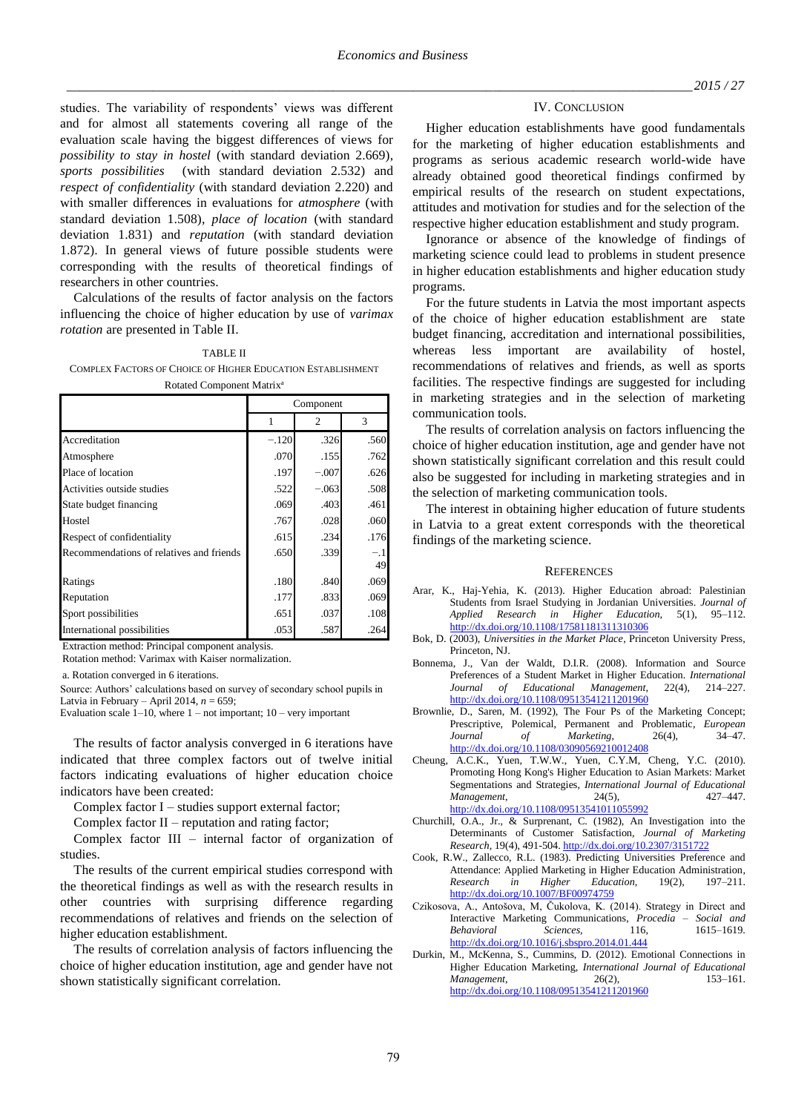studies. The variability of respondents' views was different and for almost all statements covering all range of the evaluation scale having the biggest differences of views for *possibility to stay in hostel* (with standard deviation 2.669), *sports possibilities* (with standard deviation 2.532) and *respect of confidentiality* (with standard deviation 2.220) and with smaller differences in evaluations for *atmosphere* (with standard deviation 1.508), *place of location* (with standard deviation 1.831) and *reputation* (with standard deviation 1.872). In general views of future possible students were corresponding with the results of theoretical findings of researchers in other countries.

Calculations of the results of factor analysis on the factors influencing the choice of higher education by use of *varimax rotation* are presented in Table II.

TABLE II COMPLEX FACTORS OF CHOICE OF HIGHER EDUCATION ESTABLISHMENT Rotated Component Matrix<sup>a</sup>

|                                          | Component |         |             |  |  |
|------------------------------------------|-----------|---------|-------------|--|--|
|                                          |           | 2       | 3           |  |  |
| Accreditation                            | $-.120$   | .326    | .560        |  |  |
| Atmosphere                               | .070      | .155    | .762        |  |  |
| Place of location                        | .197      | $-.007$ | .626        |  |  |
| Activities outside studies               | .522      | $-.063$ | .508        |  |  |
| State budget financing                   | .069      | .403    | .461        |  |  |
| Hostel                                   | .767      | .028    | .060        |  |  |
| Respect of confidentiality               | .615      | .234    | .176        |  |  |
| Recommendations of relatives and friends | .650      | .339    | $-.1$<br>49 |  |  |
| Ratings                                  | .180      | .840    | .069        |  |  |
| Reputation                               | .177      | .833    | .069        |  |  |
| Sport possibilities                      | .651      | .037    | .108        |  |  |
| International possibilities              | .053      | .587    | .264        |  |  |

Extraction method: Principal component analysis.

Rotation method: Varimax with Kaiser normalization.

a. Rotation converged in 6 iterations.

Source: Authors' calculations based on survey of secondary school pupils in Latvia in February – April 2014, *n* = 659;

Evaluation scale  $1-10$ , where  $1-$  not important;  $10-$  very important

The results of factor analysis converged in 6 iterations have indicated that three complex factors out of twelve initial factors indicating evaluations of higher education choice indicators have been created:

Complex factor I – studies support external factor;

Complex factor II – reputation and rating factor;

Complex factor III – internal factor of organization of studies.

The results of the current empirical studies correspond with the theoretical findings as well as with the research results in other countries with surprising difference regarding recommendations of relatives and friends on the selection of higher education establishment.

The results of correlation analysis of factors influencing the choice of higher education institution, age and gender have not shown statistically significant correlation.

### IV. CONCLUSION

Higher education establishments have good fundamentals for the marketing of higher education establishments and programs as serious academic research world-wide have already obtained good theoretical findings confirmed by empirical results of the research on student expectations, attitudes and motivation for studies and for the selection of the respective higher education establishment and study program.

Ignorance or absence of the knowledge of findings of marketing science could lead to problems in student presence in higher education establishments and higher education study programs.

For the future students in Latvia the most important aspects of the choice of higher education establishment are state budget financing, accreditation and international possibilities, whereas less important are availability of hostel, recommendations of relatives and friends, as well as sports facilities. The respective findings are suggested for including in marketing strategies and in the selection of marketing communication tools.

The results of correlation analysis on factors influencing the choice of higher education institution, age and gender have not shown statistically significant correlation and this result could also be suggested for including in marketing strategies and in the selection of marketing communication tools.

The interest in obtaining higher education of future students in Latvia to a great extent corresponds with the theoretical findings of the marketing science.

### **REFERENCES**

- Arar, K., Haj-Yehia, K. (2013). Higher Education abroad: Palestinian Students from Israel Studying in Jordanian Universities. *Journal of Applied Research in Higher Education,* 5(1), 95–112. <http://dx.doi.org/10.1108/17581181311310306>
- Bok, D. (2003), *Universities in the Market Place*, Princeton University Press, Princeton, NJ.
- Bonnema, J., Van der Waldt, D.I.R. (2008). Information and Source Preferences of a Student Market in Higher Education. *International Journal of Educational Management,* 22(4), 214–227. <http://dx.doi.org/10.1108/09513541211201960>
- Brownlie, D., Saren, M. (1992), The Four Ps of the Marketing Concept; Prescriptive, Polemical, Permanent and Problematic, *European Journal of Marketing*, 26(4), 34–47. <http://dx.doi.org/10.1108/03090569210012408>
- Cheung, A.C.K., Yuen, T.W.W., Yuen, C.Y.M, Cheng, Y.C. (2010). Promoting Hong Kong's Higher Education to Asian Markets: Market Segmentations and Strategies, *International Journal of Educational Management*, 24(5), 427–447. <http://dx.doi.org/10.1108/09513541011055992>
- Churchill, O.A., Jr., & Surprenant, C. (1982), An Investigation into the Determinants of Customer Satisfaction, *Journal of Marketing Research,* 19(4), 491-504[. http://dx.doi.org/10.2307/3151722](http://dx.doi.org/10.2307/3151722)
- Cook, R.W., Zallecco, R.L. (1983). Predicting Universities Preference and Attendance: Applied Marketing in Higher Education Administration*, Research in Higher Education,* 19(2), 197–211. <http://dx.doi.org/10.1007/BF00974759>
- Czikosova, A., Antošova, M, Čukolova, K. (2014). Strategy in Direct and Interactive Marketing Communications, *Procedia – Social and Behavioral Sciences,* 116*,* 1615–1619. <http://dx.doi.org/10.1016/j.sbspro.2014.01.444>
- Durkin, M., McKenna, S., Cummins, D. (2012). Emotional Connections in Higher Education Marketing, *International Journal of Educational*   $Management$ . <http://dx.doi.org/10.1108/09513541211201960>